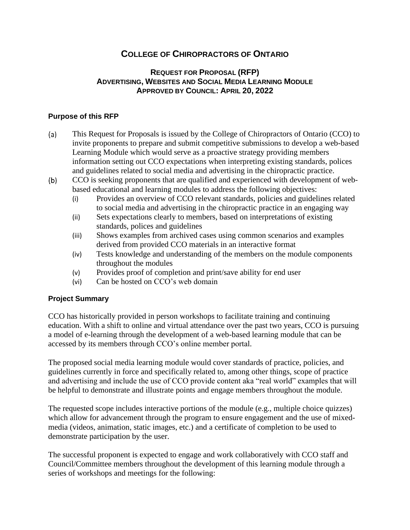# **COLLEGE OF CHIROPRACTORS OF ONTARIO**

## **REQUEST FOR PROPOSAL (RFP) ADVERTISING, WEBSITES AND SOCIAL MEDIA LEARNING MODULE APPROVED BY COUNCIL: APRIL 20, 2022**

#### **Purpose of this RFP**

- This Request for Proposals is issued by the College of Chiropractors of Ontario (CCO) to  $(a)$ invite proponents to prepare and submit competitive submissions to develop a web-based Learning Module which would serve as a proactive strategy providing members information setting out CCO expectations when interpreting existing standards, polices and guidelines related to social media and advertising in the chiropractic practice.
- $(b)$ CCO is seeking proponents that are qualified and experienced with development of webbased educational and learning modules to address the following objectives:
	- (i) Provides an overview of CCO relevant standards, policies and guidelines related to social media and advertising in the chiropractic practice in an engaging way
	- (ii) Sets expectations clearly to members, based on interpretations of existing standards, polices and guidelines
	- (iii) Shows examples from archived cases using common scenarios and examples derived from provided CCO materials in an interactive format
	- (iv) Tests knowledge and understanding of the members on the module components throughout the modules
	- (v) Provides proof of completion and print/save ability for end user
	- (vi) Can be hosted on CCO's web domain

#### **Project Summary**

CCO has historically provided in person workshops to facilitate training and continuing education. With a shift to online and virtual attendance over the past two years, CCO is pursuing a model of e-learning through the development of a web-based learning module that can be accessed by its members through CCO's online member portal.

The proposed social media learning module would cover standards of practice, policies, and guidelines currently in force and specifically related to, among other things, scope of practice and advertising and include the use of CCO provide content aka "real world" examples that will be helpful to demonstrate and illustrate points and engage members throughout the module.

The requested scope includes interactive portions of the module (e.g., multiple choice quizzes) which allow for advancement through the program to ensure engagement and the use of mixedmedia (videos, animation, static images, etc.) and a certificate of completion to be used to demonstrate participation by the user.

The successful proponent is expected to engage and work collaboratively with CCO staff and Council/Committee members throughout the development of this learning module through a series of workshops and meetings for the following: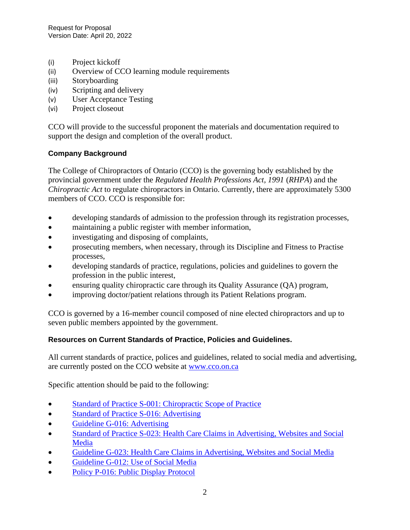- (i) Project kickoff
- (ii) Overview of CCO learning module requirements
- (iii) Storyboarding
- (iv) Scripting and delivery
- (v) User Acceptance Testing
- (vi) Project closeout

CCO will provide to the successful proponent the materials and documentation required to support the design and completion of the overall product.

## **Company Background**

The College of Chiropractors of Ontario (CCO) is the governing body established by the provincial government under the *Regulated Health Professions Act, 1991* (*RHPA*) and the *Chiropractic Act* to regulate chiropractors in Ontario. Currently, there are approximately 5300 members of CCO. CCO is responsible for:

- developing standards of admission to the profession through its registration processes,
- maintaining a public register with member information,
- investigating and disposing of complaints,
- prosecuting members, when necessary, through its Discipline and Fitness to Practise processes,
- developing standards of practice, regulations, policies and guidelines to govern the profession in the public interest,
- ensuring quality chiropractic care through its Quality Assurance (QA) program,
- improving doctor/patient relations through its Patient Relations program.

CCO is governed by a 16-member council composed of nine elected chiropractors and up to seven public members appointed by the government.

## **Resources on Current Standards of Practice, Policies and Guidelines.**

All current standards of practice, polices and guidelines, related to social media and advertising, are currently posted on the CCO website at [www.cco.on.ca](http://www.cco.on.ca/)

Specific attention should be paid to the following:

- [Standard of Practice S-001: Chiropractic Scope of Practice](https://cco.on.ca/wp-content/uploads/2019/06/S-001April302019.pdf)
- [Standard of Practice S-016: Advertising](https://cco.on.ca/wp-content/uploads/2020/02/S-016.pdf)
- [Guideline G-016: Advertising](https://cco.on.ca/wp-content/uploads/2019/06/G-016-June2019.pdf)
- Standard of Practice S-023: Health Care Claims in Advertising, Websites and Social **[Media](https://cco.on.ca/wp-content/uploads/2022/02/S-023Nov252021.pdf)**
- [Guideline G-023: Health Care Claims in Advertising, Websites and Social Media](https://cco.on.ca/wp-content/uploads/2022/02/G-023Nov252021.pdf)
- [Guideline G-012: Use of Social Media](https://cco.on.ca/wp-content/uploads/2019/12/G-012.pdf)
- [Policy P-016: Public Display Protocol](https://cco.on.ca/wp-content/uploads/2019/09/P-016Sept2019.pdf)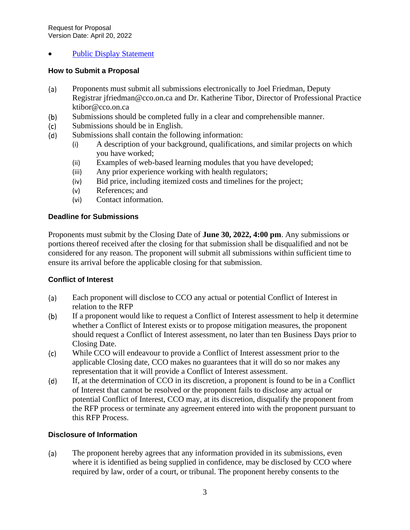## [Public Display Statement](https://cco.on.ca/wp-content/uploads/2017/10/public_display_statement_-_June_5_2015.pdf)

#### **How to Submit a Proposal**

- Proponents must submit all submissions electronically to Joel Friedman, Deputy  $(a)$ Registrar jfriedman@cco.on.ca and Dr. Katherine Tibor, Director of Professional Practice ktibor@cco.on.ca
- Submissions should be completed fully in a clear and comprehensible manner.  $(b)$
- Submissions should be in English.  $(c)$
- $(d)$ Submissions shall contain the following information:
	- (i) A description of your background, qualifications, and similar projects on which you have worked;
	- (ii) Examples of web-based learning modules that you have developed;
	- (iii) Any prior experience working with health regulators;
	- (iv) Bid price, including itemized costs and timelines for the project;
	- (v) References; and
	- (vi) Contact information.

#### **Deadline for Submissions**

Proponents must submit by the Closing Date of **June 30, 2022, 4:00 pm**. Any submissions or portions thereof received after the closing for that submission shall be disqualified and not be considered for any reason. The proponent will submit all submissions within sufficient time to ensure its arrival before the applicable closing for that submission.

#### **Conflict of Interest**

- $(a)$ Each proponent will disclose to CCO any actual or potential Conflict of Interest in relation to the RFP
- $(b)$ If a proponent would like to request a Conflict of Interest assessment to help it determine whether a Conflict of Interest exists or to propose mitigation measures, the proponent should request a Conflict of Interest assessment, no later than ten Business Days prior to Closing Date.
- $(c)$ While CCO will endeavour to provide a Conflict of Interest assessment prior to the applicable Closing date, CCO makes no guarantees that it will do so nor makes any representation that it will provide a Conflict of Interest assessment.
- If, at the determination of CCO in its discretion, a proponent is found to be in a Conflict  $(d)$ of Interest that cannot be resolved or the proponent fails to disclose any actual or potential Conflict of Interest, CCO may, at its discretion, disqualify the proponent from the RFP process or terminate any agreement entered into with the proponent pursuant to this RFP Process.

#### **Disclosure of Information**

The proponent hereby agrees that any information provided in its submissions, even  $(a)$ where it is identified as being supplied in confidence, may be disclosed by CCO where required by law, order of a court, or tribunal. The proponent hereby consents to the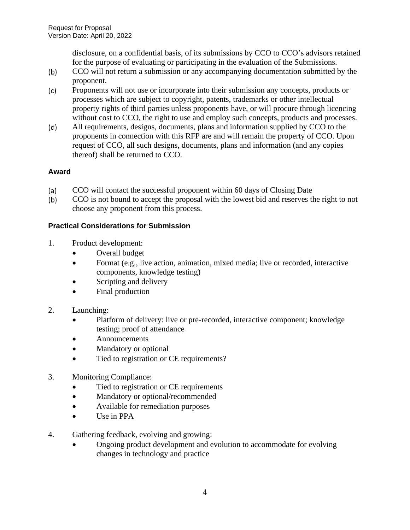disclosure, on a confidential basis, of its submissions by CCO to CCO's advisors retained for the purpose of evaluating or participating in the evaluation of the Submissions.

- CCO will not return a submission or any accompanying documentation submitted by the  $(b)$ proponent.
- $(c)$ Proponents will not use or incorporate into their submission any concepts, products or processes which are subject to copyright, patents, trademarks or other intellectual property rights of third parties unless proponents have, or will procure through licencing without cost to CCO, the right to use and employ such concepts, products and processes.
- $(d)$ All requirements, designs, documents, plans and information supplied by CCO to the proponents in connection with this RFP are and will remain the property of CCO. Upon request of CCO, all such designs, documents, plans and information (and any copies thereof) shall be returned to CCO.

# **Award**

- $(a)$ CCO will contact the successful proponent within 60 days of Closing Date
- CCO is not bound to accept the proposal with the lowest bid and reserves the right to not  $(b)$ choose any proponent from this process.

# **Practical Considerations for Submission**

- 1. Product development:
	- Overall budget
	- Format (e.g., live action, animation, mixed media; live or recorded, interactive components, knowledge testing)
	- Scripting and delivery
	- Final production
- 2. Launching:
	- Platform of delivery: live or pre-recorded, interactive component; knowledge testing; proof of attendance
	- **Announcements**
	- Mandatory or optional
	- Tied to registration or CE requirements?
- 3. Monitoring Compliance:
	- Tied to registration or CE requirements
	- Mandatory or optional/recommended
	- Available for remediation purposes
	- Use in PPA
- 4. Gathering feedback, evolving and growing:
	- Ongoing product development and evolution to accommodate for evolving changes in technology and practice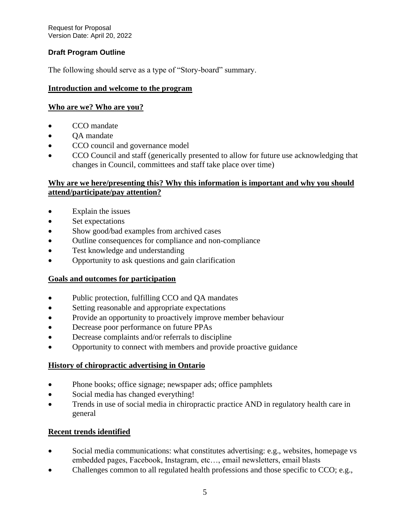Request for Proposal Version Date: April 20, 2022

## **Draft Program Outline**

The following should serve as a type of "Story-board" summary.

## **Introduction and welcome to the program**

#### **Who are we? Who are you?**

- CCO mandate
- OA mandate
- CCO council and governance model
- CCO Council and staff (generically presented to allow for future use acknowledging that changes in Council, committees and staff take place over time)

## **Why are we here/presenting this? Why this information is important and why you should attend/participate/pay attention?**

- Explain the issues
- Set expectations
- Show good/bad examples from archived cases
- Outline consequences for compliance and non-compliance
- Test knowledge and understanding
- Opportunity to ask questions and gain clarification

## **Goals and outcomes for participation**

- Public protection, fulfilling CCO and QA mandates
- Setting reasonable and appropriate expectations
- Provide an opportunity to proactively improve member behaviour
- Decrease poor performance on future PPAs
- Decrease complaints and/or referrals to discipline
- Opportunity to connect with members and provide proactive guidance

## **History of chiropractic advertising in Ontario**

- Phone books; office signage; newspaper ads; office pamphlets
- Social media has changed everything!
- Trends in use of social media in chiropractic practice AND in regulatory health care in general

## **Recent trends identified**

- Social media communications: what constitutes advertising: e.g., websites, homepage vs embedded pages, Facebook, Instagram, etc…, email newsletters, email blasts
- Challenges common to all regulated health professions and those specific to CCO; e.g.,